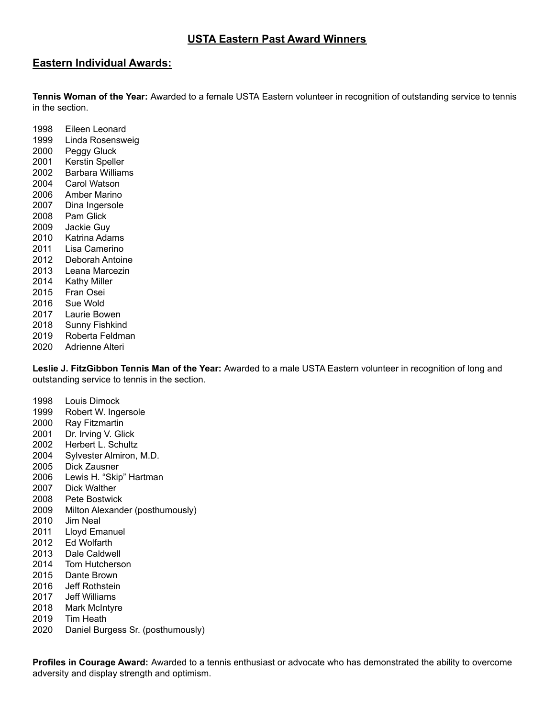## **USTA Eastern Past Award Winners**

## **Eastern Individual Awards:**

**Tennis Woman of the Year:** Awarded to a female USTA Eastern volunteer in recognition of outstanding service to tennis in the section.

- Eileen Leonard
- Linda Rosensweig Peggy Gluck
- Kerstin Speller
- Barbara Williams
- Carol Watson
- Amber Marino
- Dina Ingersole
- Pam Glick
- Jackie Guy
- Katrina Adams
- Lisa Camerino
- Deborah Antoine
- Leana Marcezin
- Kathy Miller
- Fran Osei
- Sue Wold
- Laurie Bowen
- Sunny Fishkind
- Roberta Feldman
- Adrienne Alteri

**Leslie J. FitzGibbon Tennis Man of the Year:** Awarded to a male USTA Eastern volunteer in recognition of long and outstanding service to tennis in the section.

- Louis Dimock
- Robert W. Ingersole
- Ray Fitzmartin
- Dr. Irving V. Glick
- Herbert L. Schultz
- Sylvester Almiron, M.D.
- Dick Zausner
- Lewis H. "Skip" Hartman
- Dick Walther
- Pete Bostwick
- Milton Alexander (posthumously)
- Jim Neal
- Lloyd Emanuel
- Ed Wolfarth
- Dale Caldwell
- Tom Hutcherson
- Dante Brown
- Jeff Rothstein
- Jeff Williams
- Mark McIntyre
- Tim Heath
- Daniel Burgess Sr. (posthumously)

**Profiles in Courage Award:** Awarded to a tennis enthusiast or advocate who has demonstrated the ability to overcome adversity and display strength and optimism.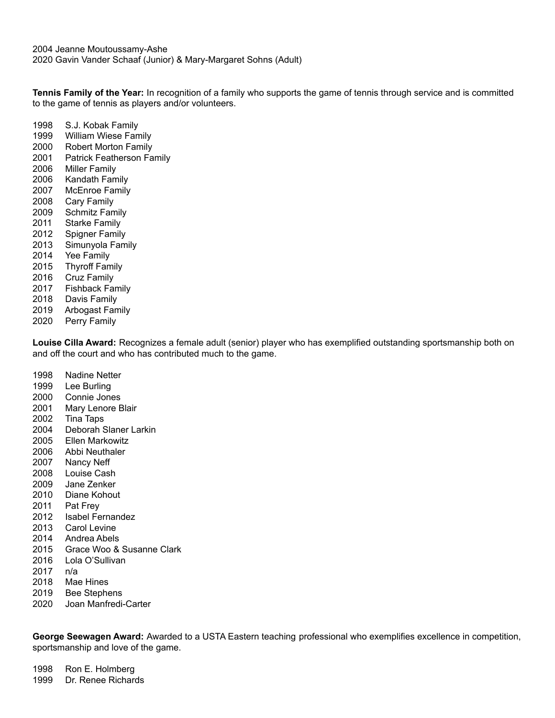**Tennis Family of the Year:** In recognition of a family who supports the game of tennis through service and is committed to the game of tennis as players and/or volunteers.

- S.J. Kobak Family
- William Wiese Family
- Robert Morton Family
- Patrick Featherson Family Miller Family
- Kandath Family
- McEnroe Family
- 
- Cary Family
- Schmitz Family Starke Family
- Spigner Family
- Simunyola Family
- Yee Family
- Thyroff Family
- Cruz Family
- Fishback Family
- Davis Family
- Arbogast Family
- Perry Family

**Louise Cilla Award:** Recognizes a female adult (senior) player who has exemplified outstanding sportsmanship both on and off the court and who has contributed much to the game.

- Nadine Netter
- Lee Burling
- Connie Jones
- Mary Lenore Blair
- Tina Taps
- Deborah Slaner Larkin
- Ellen Markowitz
- Abbi Neuthaler
- Nancy Neff
- Louise Cash
- Jane Zenker
- Diane Kohout
- Pat Frey
- Isabel Fernandez
- Carol Levine
- Andrea Abels
- Grace Woo & Susanne Clark
- Lola O'Sullivan
- n/a
- Mae Hines
- Bee Stephens
- Joan Manfredi-Carter

**George Seewagen Award:** Awarded to a USTA Eastern teaching professional who exemplifies excellence in competition, sportsmanship and love of the game.

Ron E. Holmberg

Dr. Renee Richards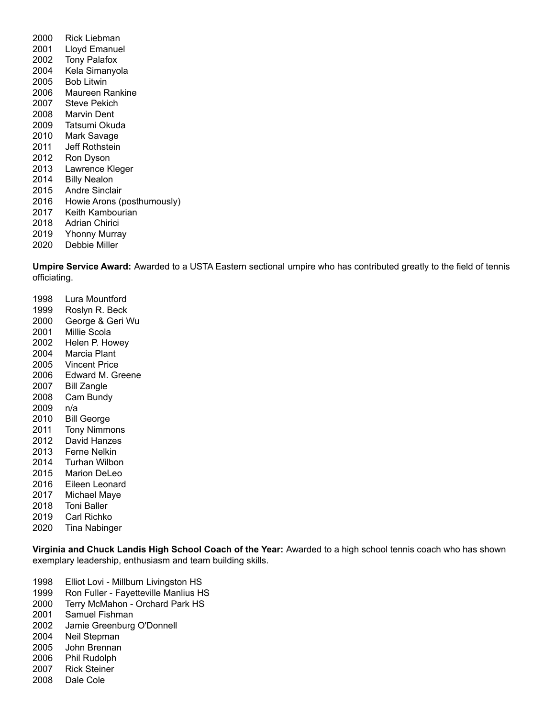Rick Liebman Lloyd Emanuel Tony Palafox Kela Simanyola Bob Litwin Maureen Rankine Steve Pekich Marvin Dent Tatsumi Okuda Mark Savage Jeff Rothstein Ron Dyson Lawrence Kleger Billy Nealon Andre Sinclair Howie Arons (posthumously) Keith Kambourian Adrian Chirici 2019 Yhonny Murray<br>2020 Debbie Miller Debbie Miller

**Umpire Service Award:** Awarded to a USTA Eastern sectional umpire who has contributed greatly to the field of tennis officiating.

- Lura Mountford
- Roslyn R. Beck
- George & Geri Wu
- Millie Scola
- Helen P. Howey
- Marcia Plant
- Vincent Price
- Edward M. Greene Bill Zangle
- Cam Bundy
- n/a
- Bill George
- Tony Nimmons
- David Hanzes
- Ferne Nelkin
- Turhan Wilbon
- Marion DeLeo
- Eileen Leonard
- Michael Maye
- Toni Baller
- Carl Richko
- Tina Nabinger

**Virginia and Chuck Landis High School Coach of the Year:** Awarded to a high school tennis coach who has shown exemplary leadership, enthusiasm and team building skills.

- Elliot Lovi Millburn Livingston HS
- Ron Fuller Fayetteville Manlius HS
- Terry McMahon Orchard Park HS
- Samuel Fishman
- Jamie Greenburg O'Donnell
- Neil Stepman
- John Brennan
- Phil Rudolph
- Rick Steiner
- Dale Cole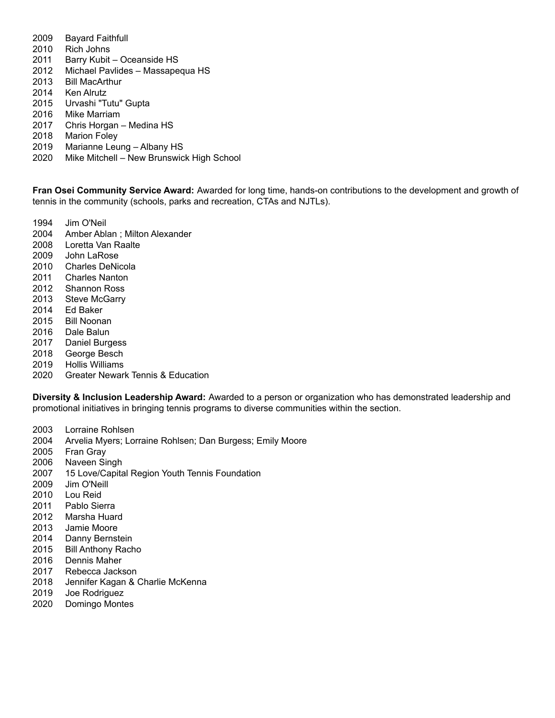- Bayard Faithfull
- Rich Johns
- Barry Kubit Oceanside HS
- Michael Pavlides Massapequa HS
- Bill MacArthur
- Ken Alrutz
- Urvashi "Tutu" Gupta
- Mike Marriam
- Chris Horgan Medina HS
- Marion Foley
- Marianne Leung Albany HS
- Mike Mitchell New Brunswick High School

**Fran Osei Community Service Award:** Awarded for long time, hands-on contributions to the development and growth of tennis in the community (schools, parks and recreation, CTAs and NJTLs).

- Jim O'Neil
- Amber Ablan ; Milton Alexander
- Loretta Van Raalte
- John LaRose
- Charles DeNicola
- Charles Nanton
- Shannon Ross
- Steve McGarry
- Ed Baker
- Bill Noonan
- Dale Balun
- Daniel Burgess
- George Besch
- Hollis Williams
- Greater Newark Tennis & Education

**Diversity & Inclusion Leadership Award:** Awarded to a person or organization who has demonstrated leadership and promotional initiatives in bringing tennis programs to diverse communities within the section.

- Lorraine Rohlsen
- Arvelia Myers; Lorraine Rohlsen; Dan Burgess; Emily Moore
- Fran Gray
- Naveen Singh
- 15 Love/Capital Region Youth Tennis Foundation
- Jim O'Neill
- Lou Reid
- Pablo Sierra
- Marsha Huard
- Jamie Moore
- Danny Bernstein
- Bill Anthony Racho
- Dennis Maher
- Rebecca Jackson
- Jennifer Kagan & Charlie McKenna
- Joe Rodriguez
- Domingo Montes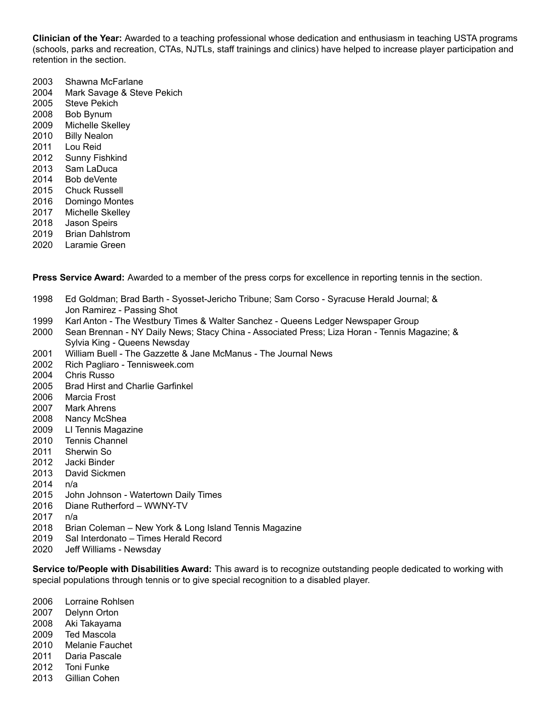**Clinician of the Year:** Awarded to a teaching professional whose dedication and enthusiasm in teaching USTA programs (schools, parks and recreation, CTAs, NJTLs, staff trainings and clinics) have helped to increase player participation and retention in the section.

- Shawna McFarlane
- Mark Savage & Steve Pekich
- Steve Pekich
- Bob Bynum
- Michelle Skelley
- Billy Nealon
- Lou Reid
- Sunny Fishkind
- Sam LaDuca
- Bob deVente
- Chuck Russell
- Domingo Montes
- Michelle Skelley
- Jason Speirs
- Brian Dahlstrom
- Laramie Green

**Press Service Award:** Awarded to a member of the press corps for excellence in reporting tennis in the section.

- Ed Goldman; Brad Barth Syosset-Jericho Tribune; Sam Corso Syracuse Herald Journal; & Jon Ramirez - Passing Shot
- Karl Anton The Westbury Times & Walter Sanchez Queens Ledger Newspaper Group
- Sean Brennan NY Daily News; Stacy China Associated Press; Liza Horan Tennis Magazine; & Sylvia King - Queens Newsday
- William Buell The Gazzette & Jane McManus The Journal News
- Rich Pagliaro Tennisweek.com
- Chris Russo
- Brad Hirst and Charlie Garfinkel
- Marcia Frost
- Mark Ahrens
- Nancy McShea
- LI Tennis Magazine
- Tennis Channel
- Sherwin So
- Jacki Binder
- David Sickmen
- n/a
- John Johnson Watertown Daily Times
- Diane Rutherford WWNY-TV
- n/a
- Brian Coleman New York & Long Island Tennis Magazine
- Sal Interdonato Times Herald Record
- Jeff Williams Newsday

**Service to/People with Disabilities Award:** This award is to recognize outstanding people dedicated to working with special populations through tennis or to give special recognition to a disabled player.

- Lorraine Rohlsen
- Delynn Orton
- Aki Takayama
- Ted Mascola
- Melanie Fauchet
- Daria Pascale
- Toni Funke
- Gillian Cohen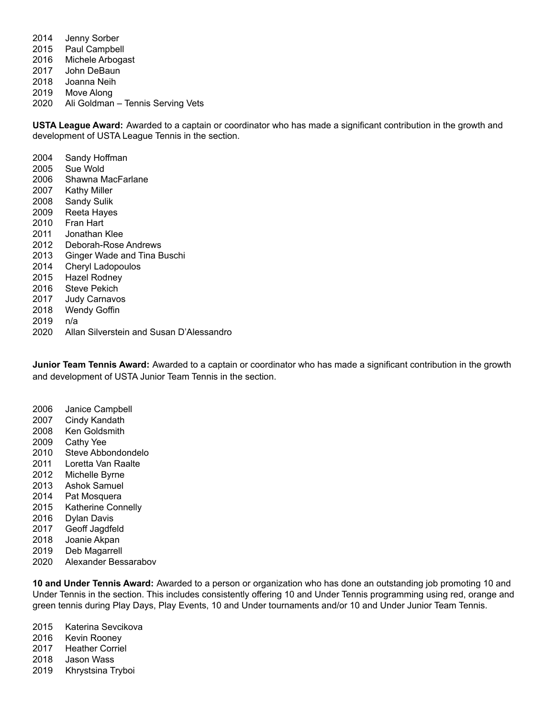- Jenny Sorber
- Paul Campbell
- Michele Arbogast
- John DeBaun
- Joanna Neih
- Move Along
- Ali Goldman Tennis Serving Vets

**USTA League Award:** Awarded to a captain or coordinator who has made a significant contribution in the growth and development of USTA League Tennis in the section.

- Sandy Hoffman
- Sue Wold
- Shawna MacFarlane
- Kathy Miller
- Sandy Sulik
- Reeta Hayes
- Fran Hart
- Jonathan Klee
- Deborah-Rose Andrews
- Ginger Wade and Tina Buschi
- Cheryl Ladopoulos
- Hazel Rodney
- Steve Pekich
- Judy Carnavos
- Wendy Goffin
- n/a
- Allan Silverstein and Susan D'Alessandro

**Junior Team Tennis Award:** Awarded to a captain or coordinator who has made a significant contribution in the growth and development of USTA Junior Team Tennis in the section.

- Janice Campbell
- Cindy Kandath
- Ken Goldsmith
- Cathy Yee
- Steve Abbondondelo
- Loretta Van Raalte
- Michelle Byrne
- Ashok Samuel
- Pat Mosquera
- Katherine Connelly
- Dylan Davis
- Geoff Jagdfeld
- Joanie Akpan
- Deb Magarrell
- Alexander Bessarabov

 **and Under Tennis Award:** Awarded to a person or organization who has done an outstanding job promoting 10 and Under Tennis in the section. This includes consistently offering 10 and Under Tennis programming using red, orange and green tennis during Play Days, Play Events, 10 and Under tournaments and/or 10 and Under Junior Team Tennis.

- Katerina Sevcikova
- Kevin Rooney
- Heather Corriel
- Jason Wass
- Khrystsina Tryboi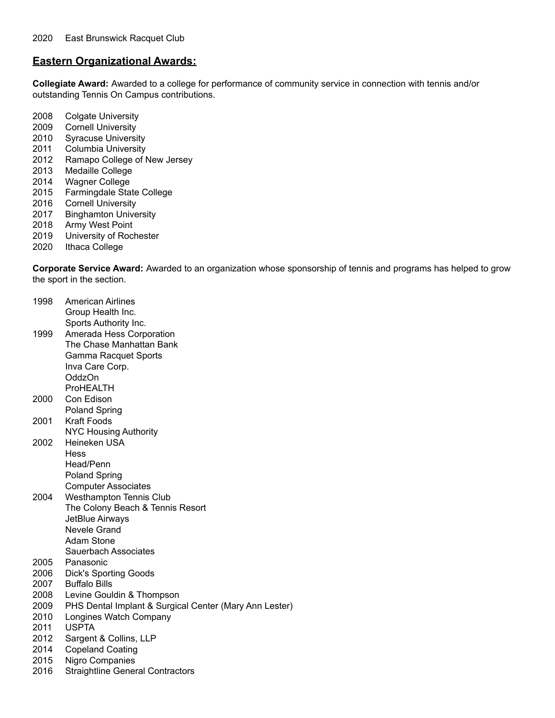### **Eastern Organizational Awards:**

**Collegiate Award:** Awarded to a college for performance of community service in connection with tennis and/or outstanding Tennis On Campus contributions.

- 2008 Colgate University
- 2009 Cornell University
- 2010 Syracuse University
- 2011 Columbia University
- 2012 Ramapo College of New Jersey
- 2013 Medaille College
- 2014 Wagner College
- 2015 Farmingdale State College
- 2016 Cornell University
- 2017 Binghamton University
- 2018 Army West Point
- 2019 University of Rochester
- 2020 Ithaca College

**Corporate Service Award:** Awarded to an organization whose sponsorship of tennis and programs has helped to grow the sport in the section.

| 1998 | American Airlines                                      |
|------|--------------------------------------------------------|
|      | Group Health Inc.                                      |
|      | Sports Authority Inc.                                  |
| 1999 | Amerada Hess Corporation                               |
|      | The Chase Manhattan Bank                               |
|      | <b>Gamma Racquet Sports</b>                            |
|      | Inva Care Corp.                                        |
|      | OddzOn                                                 |
|      | ProHEALTH                                              |
| 2000 | Con Edison                                             |
|      | <b>Poland Spring</b>                                   |
| 2001 | <b>Kraft Foods</b>                                     |
|      | <b>NYC Housing Authority</b>                           |
| 2002 | Heineken USA                                           |
|      | Hess                                                   |
|      | Head/Penn                                              |
|      | <b>Poland Spring</b>                                   |
|      | <b>Computer Associates</b>                             |
| 2004 | <b>Westhampton Tennis Club</b>                         |
|      | The Colony Beach & Tennis Resort                       |
|      | JetBlue Airways                                        |
|      | Nevele Grand                                           |
|      | Adam Stone                                             |
|      | Sauerbach Associates                                   |
| 2005 | Panasonic                                              |
| 2006 | <b>Dick's Sporting Goods</b>                           |
| 2007 | <b>Buffalo Bills</b>                                   |
| 2008 | Levine Gouldin & Thompson                              |
| 2009 | PHS Dental Implant & Surgical Center (Mary Ann Lester) |
| 2010 | Longines Watch Company                                 |
| 2011 | <b>USPTA</b>                                           |
| 2012 | Sargent & Collins, LLP                                 |
| 2014 | <b>Copeland Coating</b>                                |
| 2015 | Nigro Companies                                        |
| 2016 | <b>Straightline General Contractors</b>                |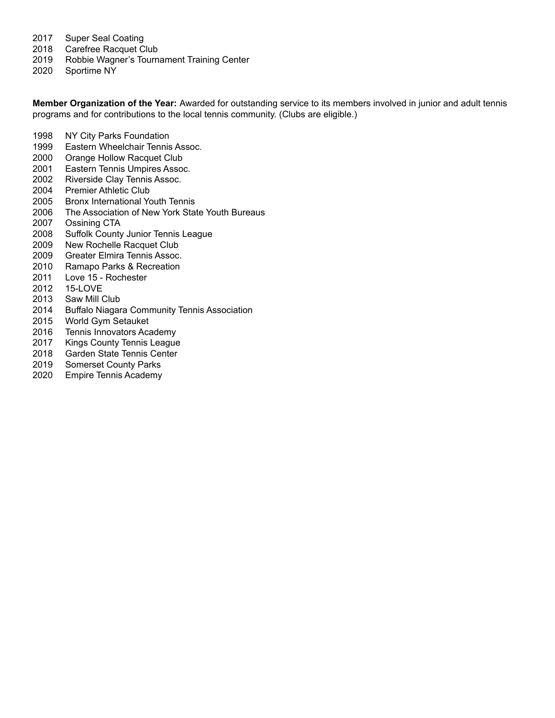- Super Seal Coating
- Carefree Racquet Club
- Robbie Wagner's Tournament Training Center
- Sportime NY

**Member Organization of the Year:** Awarded for outstanding service to its members involved in junior and adult tennis programs and for contributions to the local tennis community. (Clubs are eligible.)

- NY City Parks Foundation
- Eastern Wheelchair Tennis Assoc.
- Orange Hollow Racquet Club
- Eastern Tennis Umpires Assoc.
- Riverside Clay Tennis Assoc.
- Premier Athletic Club
- Bronx International Youth Tennis
- The Association of New York State Youth Bureaus
- Ossining CTA
- Suffolk County Junior Tennis League
- New Rochelle Racquet Club
- Greater Elmira Tennis Assoc.
- Ramapo Parks & Recreation
- Love 15 Rochester
- 15-LOVE
- Saw Mill Club
- Buffalo Niagara Community Tennis Association
- World Gym Setauket
- Tennis Innovators Academy
- Kings County Tennis League
- Garden State Tennis Center
- Somerset County Parks
- Empire Tennis Academy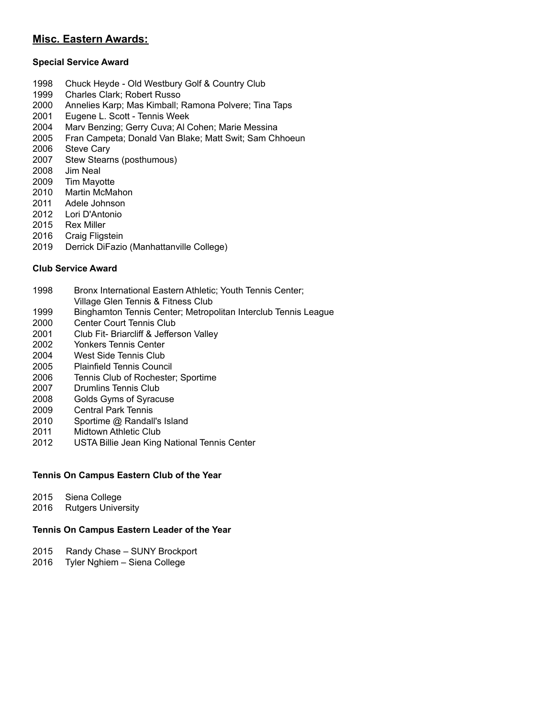# **Misc. Eastern Awards:**

#### **Special Service Award**

- Chuck Heyde Old Westbury Golf & Country Club
- Charles Clark; Robert Russo
- Annelies Karp; Mas Kimball; Ramona Polvere; Tina Taps
- Eugene L. Scott Tennis Week
- Marv Benzing; Gerry Cuva; Al Cohen; Marie Messina
- Fran Campeta; Donald Van Blake; Matt Swit; Sam Chhoeun
- Steve Cary
- Stew Stearns (posthumous)
- Jim Neal
- Tim Mayotte
- Martin McMahon
- Adele Johnson
- Lori D'Antonio
- Rex Miller
- Craig Fligstein
- Derrick DiFazio (Manhattanville College)

#### **Club Service Award**

- Bronx International Eastern Athletic; Youth Tennis Center;
- Village Glen Tennis & Fitness Club
- Binghamton Tennis Center; Metropolitan Interclub Tennis League
- Center Court Tennis Club
- Club Fit- Briarcliff & Jefferson Valley
- Yonkers Tennis Center
- West Side Tennis Club
- Plainfield Tennis Council
- Tennis Club of Rochester; Sportime
- Drumlins Tennis Club
- Golds Gyms of Syracuse
- Central Park Tennis
- Sportime @ Randall's Island
- Midtown Athletic Club
- USTA Billie Jean King National Tennis Center

#### **Tennis On Campus Eastern Club of the Year**

- Siena College
- Rutgers University

#### **Tennis On Campus Eastern Leader of the Year**

- Randy Chase SUNY Brockport
- Tyler Nghiem Siena College